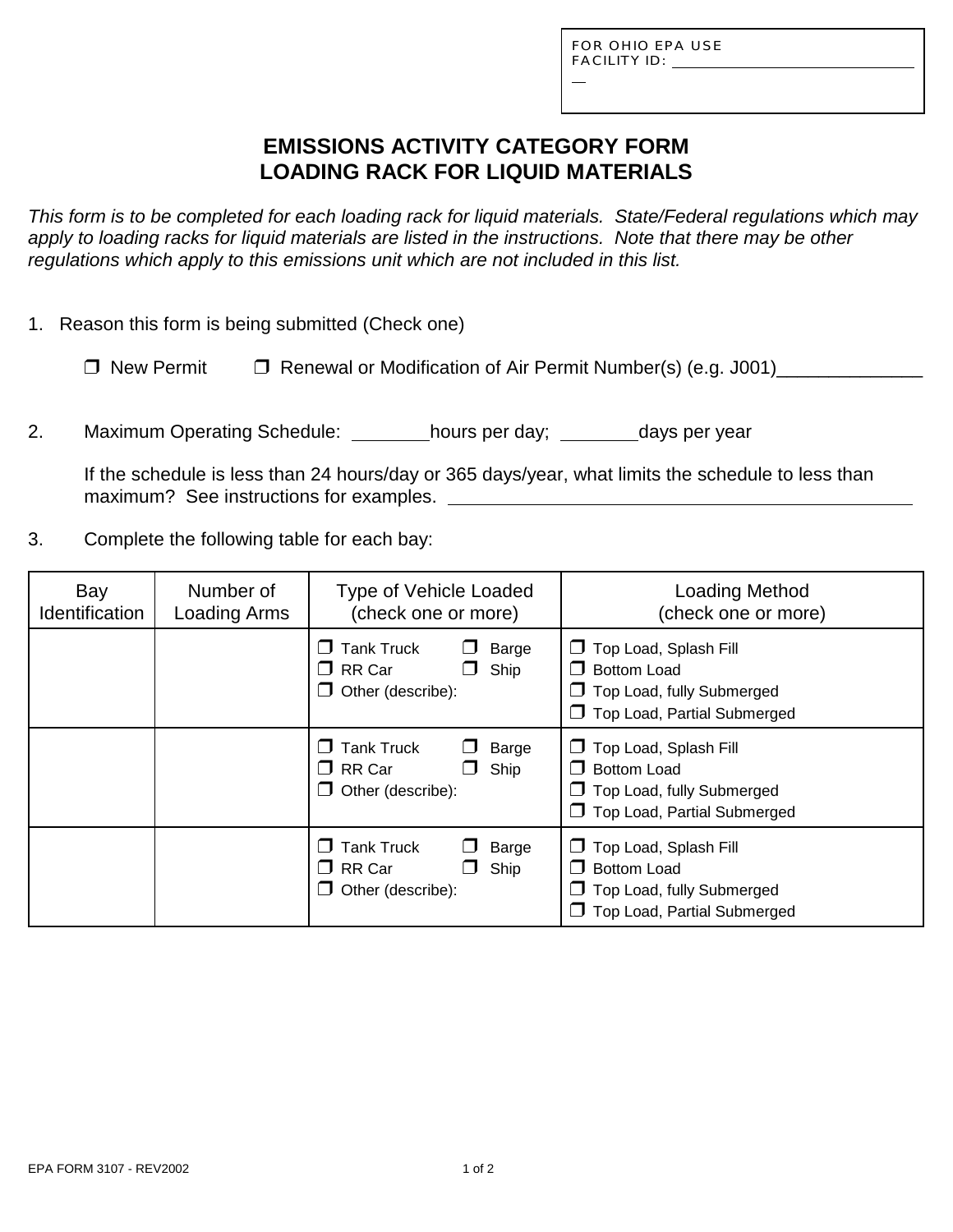L

# **EMISSIONS ACTIVITY CATEGORY FORM LOADING RACK FOR LIQUID MATERIALS**

*This form is to be completed for each loading rack for liquid materials. State/Federal regulations which may apply to loading racks for liquid materials are listed in the instructions. Note that there may be other regulations which apply to this emissions unit which are not included in this list.*

|  |  | 1. Reason this form is being submitted (Check one) |  |
|--|--|----------------------------------------------------|--|
|  |  |                                                    |  |

| $\Box$ New Permit | $\Box$ Renewal or Modification of Air Permit Number(s) (e.g. J001) |
|-------------------|--------------------------------------------------------------------|
|                   |                                                                    |

2. Maximum Operating Schedule: \_\_\_\_\_\_\_\_hours per day; \_\_\_\_\_\_\_days per year

If the schedule is less than 24 hours/day or 365 days/year, what limits the schedule to less than maximum? See instructions for examples.

3. Complete the following table for each bay:

| Bay<br>Identification | Number of<br>Loading Arms | <b>Type of Vehicle Loaded</b><br>(check one or more)                            | <b>Loading Method</b><br>(check one or more)                                                                                   |
|-----------------------|---------------------------|---------------------------------------------------------------------------------|--------------------------------------------------------------------------------------------------------------------------------|
|                       |                           | <b>Tank Truck</b><br>Barge<br>$\Box$ RR Car<br>Ship<br>$\Box$ Other (describe): | $\Box$ Top Load, Splash Fill<br><b>Bottom Load</b><br>$\Box$ Top Load, fully Submerged<br>$\Box$ Top Load, Partial Submerged   |
|                       |                           | <b>Tank Truck</b><br>Barge<br>$\Box$ RR Car<br>Ship<br>Other (describe):        | $\Box$ Top Load, Splash Fill<br><b>Bottom Load</b><br><b>J</b> Top Load, fully Submerged<br>$\Box$ Top Load, Partial Submerged |
|                       |                           | <b>Tank Truck</b><br>Barge<br>$\Box$ RR Car<br>Ship<br>Other (describe):        | Top Load, Splash Fill<br>$\sqcup$<br><b>Bottom Load</b><br>$\Box$ Top Load, fully Submerged<br>Top Load, Partial Submerged     |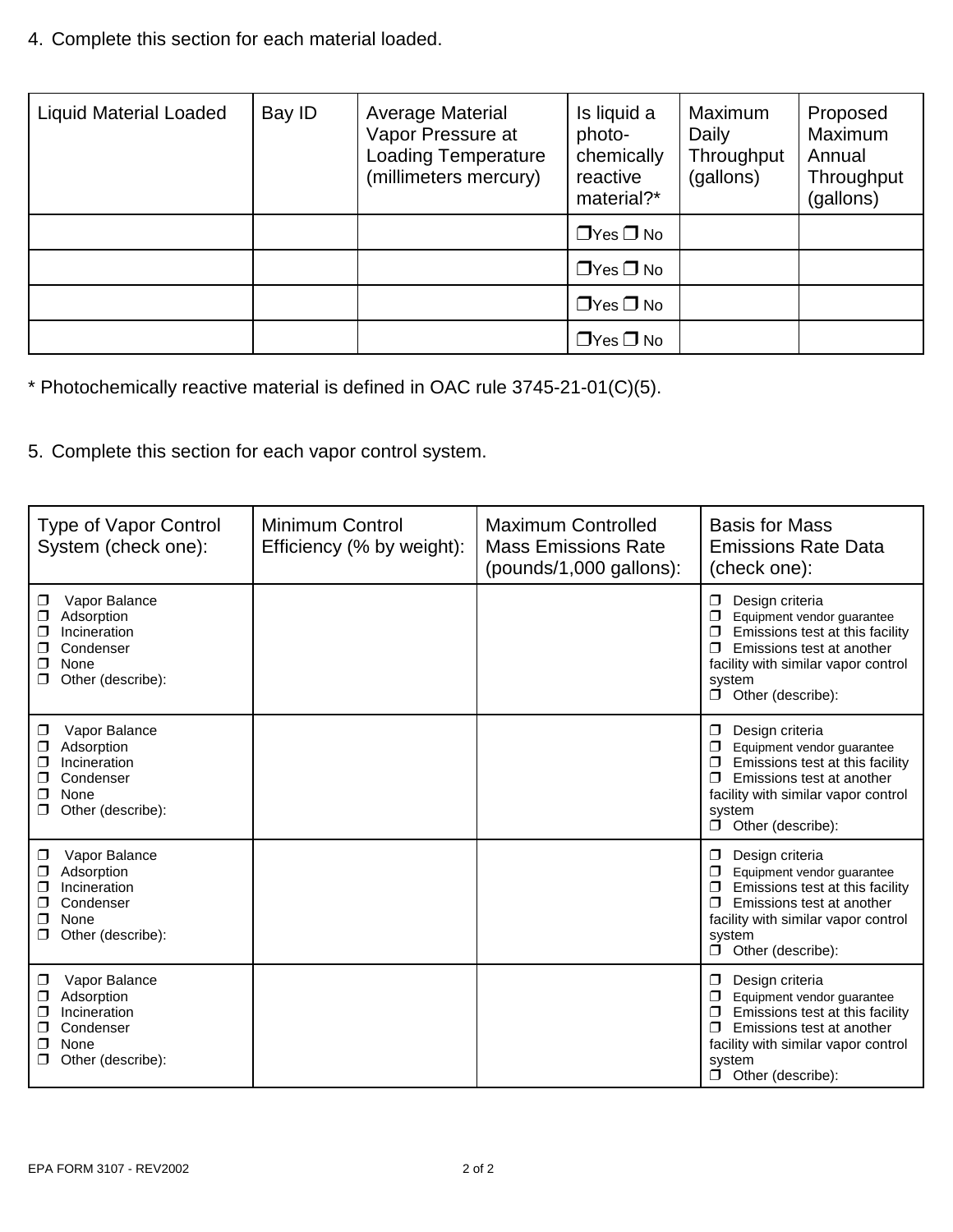4. Complete this section for each material loaded.

| <b>Liquid Material Loaded</b> | Bay ID | <b>Average Material</b><br>Vapor Pressure at<br><b>Loading Temperature</b><br>(millimeters mercury) | Is liquid a<br>photo-<br>chemically<br>reactive<br>material?* | Maximum<br>Daily<br>Throughput<br>(gallons) | Proposed<br>Maximum<br>Annual<br>Throughput<br>(gallons) |
|-------------------------------|--------|-----------------------------------------------------------------------------------------------------|---------------------------------------------------------------|---------------------------------------------|----------------------------------------------------------|
|                               |        |                                                                                                     | $\Box$ Yes $\Box$ No                                          |                                             |                                                          |
|                               |        |                                                                                                     | $\Box$ Yes $\Box$ No                                          |                                             |                                                          |
|                               |        |                                                                                                     | $\Box$ Yes $\Box$ No                                          |                                             |                                                          |
|                               |        |                                                                                                     | $\Box$ Yes $\Box$ No                                          |                                             |                                                          |

\* Photochemically reactive material is defined in OAC rule 3745-21-01(C)(5).

5. Complete this section for each vapor control system.

| <b>Type of Vapor Control</b><br>System (check one):                                                                 | <b>Minimum Control</b><br>Efficiency (% by weight): | <b>Maximum Controlled</b><br><b>Mass Emissions Rate</b><br>(pounds/1,000 gallons): | <b>Basis for Mass</b><br><b>Emissions Rate Data</b><br>(check one):                                                                                                                                                    |
|---------------------------------------------------------------------------------------------------------------------|-----------------------------------------------------|------------------------------------------------------------------------------------|------------------------------------------------------------------------------------------------------------------------------------------------------------------------------------------------------------------------|
| Vapor Balance<br>$\Box$<br>Adsorption<br>Incineration<br>□<br>Condenser<br>None<br>□<br>Other (describe):           |                                                     |                                                                                    | Design criteria<br>$\Box$<br>Equipment vendor guarantee<br>Emissions test at this facility<br>$\Box$<br>Emissions test at another<br>facility with similar vapor control<br>system<br>Other (describe):<br>$\Box$      |
| Vapor Balance<br>$\Box$<br>Adsorption<br>Incineration<br>Condenser<br>◘<br>None<br>Other (describe):<br>◘           |                                                     |                                                                                    | Design criteria<br>$\Box$<br>Equipment vendor guarantee<br>Emissions test at this facility<br>⊓<br>Emissions test at another<br>facility with similar vapor control<br>system<br>Other (describe):<br>$\Box$           |
| Vapor Balance<br>$\Box$<br>Adsorption<br>◘<br>Incineration<br>◻<br>Condenser<br>□<br>None<br>⊓<br>Other (describe): |                                                     |                                                                                    | Design criteria<br>$\Box$<br>Equipment vendor guarantee<br>Emissions test at this facility<br>$\Box$<br>Emissions test at another<br>facility with similar vapor control<br>system<br>Other (describe):<br>$\Box$      |
| Vapor Balance<br>□<br>Adsorption<br>◻<br>Incineration<br>⊓<br>Condenser<br>None<br>⊓<br>Other (describe):           |                                                     |                                                                                    | Design criteria<br>$\Box$<br>Equipment vendor guarantee<br>Emissions test at this facility<br>$\Box$<br>Emissions test at another<br>$\Box$<br>facility with similar vapor control<br>system<br>Other (describe):<br>σ |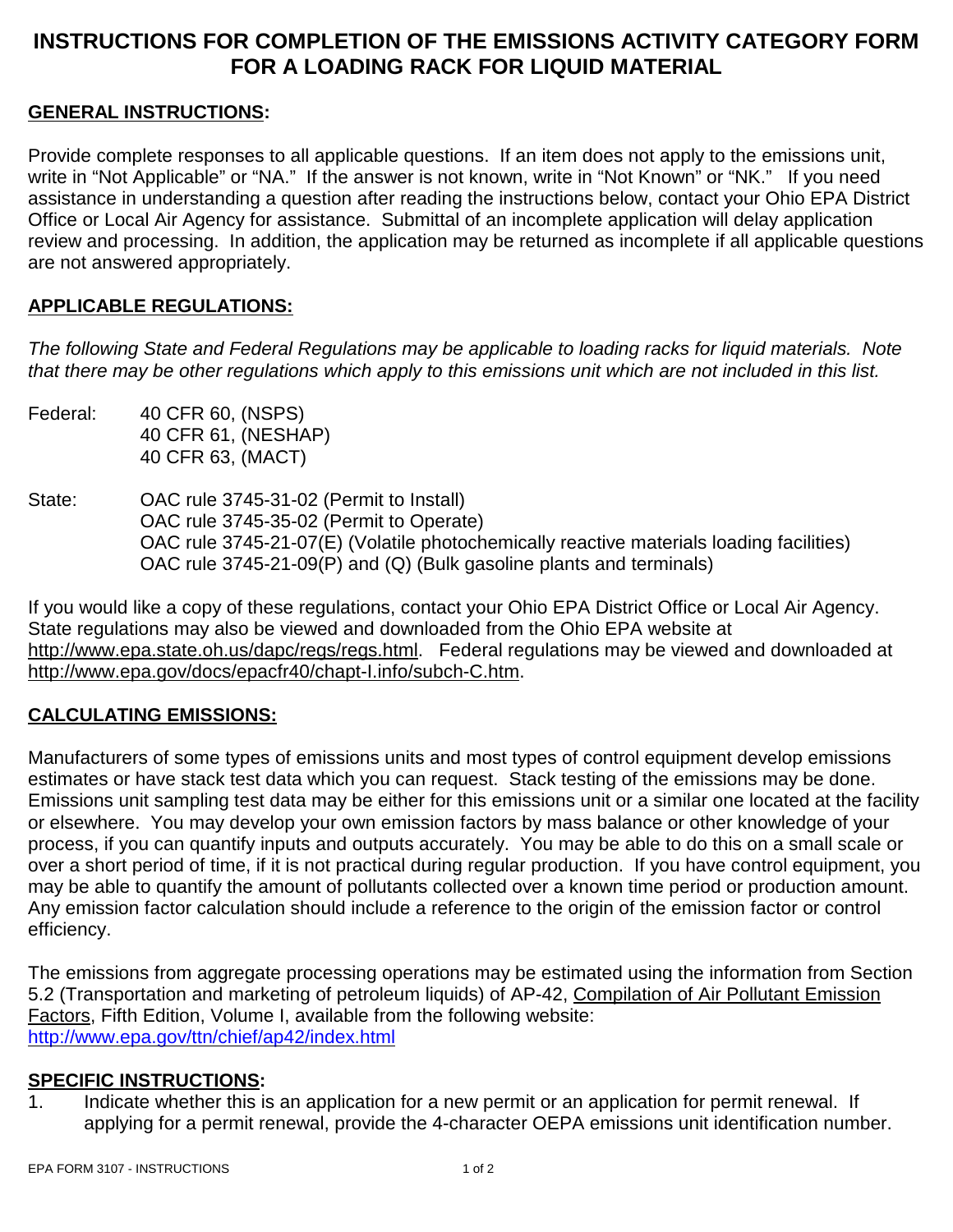# **INSTRUCTIONS FOR COMPLETION OF THE EMISSIONS ACTIVITY CATEGORY FORM FOR A LOADING RACK FOR LIQUID MATERIAL**

### **GENERAL INSTRUCTIONS:**

Provide complete responses to all applicable questions. If an item does not apply to the emissions unit, write in "Not Applicable" or "NA." If the answer is not known, write in "Not Known" or "NK." If you need assistance in understanding a question after reading the instructions below, contact your Ohio EPA District Office or Local Air Agency for assistance. Submittal of an incomplete application will delay application review and processing. In addition, the application may be returned as incomplete if all applicable questions are not answered appropriately.

### **APPLICABLE REGULATIONS:**

*The following State and Federal Regulations may be applicable to loading racks for liquid materials. Note that there may be other regulations which apply to this emissions unit which are not included in this list.*

- Federal: 40 CFR 60, (NSPS) 40 CFR 61, (NESHAP) 40 CFR 63, (MACT)
- State: OAC rule 3745-31-02 (Permit to Install) OAC rule 3745-35-02 (Permit to Operate) OAC rule 3745-21-07(E) (Volatile photochemically reactive materials loading facilities) OAC rule 3745-21-09(P) and (Q) (Bulk gasoline plants and terminals)

If you would like a copy of these regulations, contact your Ohio EPA District Office or Local Air Agency. State regulations may also be viewed and downloaded from the Ohio EPA website at http://www.epa.state.oh.us/dapc/regs/regs.html. Federal regulations may be viewed and downloaded at http://www.epa.gov/docs/epacfr40/chapt-I.info/subch-C.htm.

### **CALCULATING EMISSIONS:**

Manufacturers of some types of emissions units and most types of control equipment develop emissions estimates or have stack test data which you can request. Stack testing of the emissions may be done. Emissions unit sampling test data may be either for this emissions unit or a similar one located at the facility or elsewhere. You may develop your own emission factors by mass balance or other knowledge of your process, if you can quantify inputs and outputs accurately. You may be able to do this on a small scale or over a short period of time, if it is not practical during regular production. If you have control equipment, you may be able to quantify the amount of pollutants collected over a known time period or production amount. Any emission factor calculation should include a reference to the origin of the emission factor or control efficiency.

The emissions from aggregate processing operations may be estimated using the information from Section 5.2 (Transportation and marketing of petroleum liquids) of AP-42, Compilation of Air Pollutant Emission Factors, Fifth Edition, Volume I, available from the following website: http://www.epa.gov/ttn/chief/ap42/index.html

#### **SPECIFIC INSTRUCTIONS:**

1. Indicate whether this is an application for a new permit or an application for permit renewal. If applying for a permit renewal, provide the 4-character OEPA emissions unit identification number.